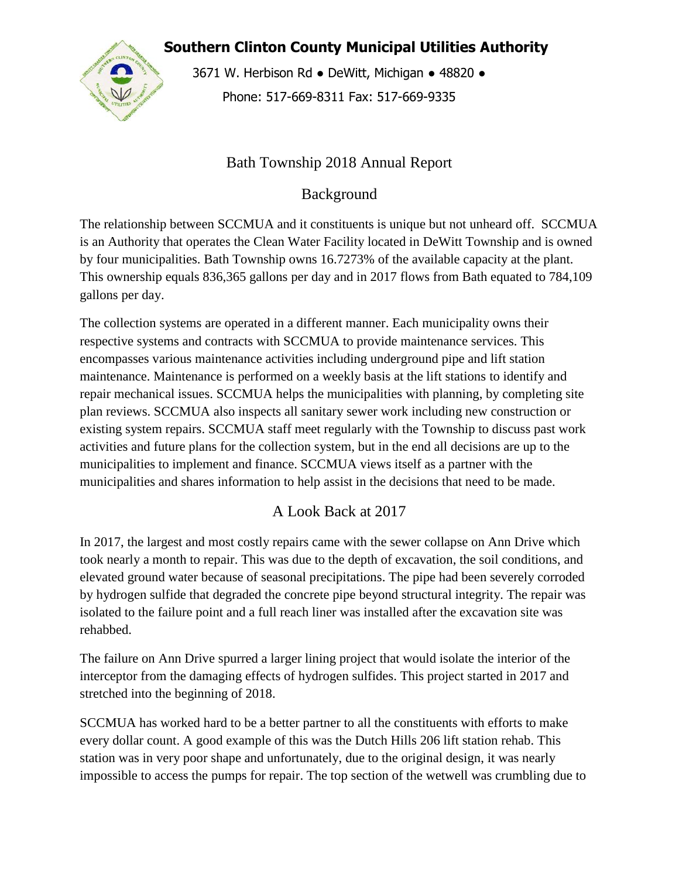**Southern Clinton County Municipal Utilities Authority**



3671 W. Herbison Rd · DeWitt, Michigan · 48820 · Phone: 517-669-8311 Fax: 517-669-9335

## Bath Township 2018 Annual Report

Background

The relationship between SCCMUA and it constituents is unique but not unheard off. SCCMUA is an Authority that operates the Clean Water Facility located in DeWitt Township and is owned by four municipalities. Bath Township owns 16.7273% of the available capacity at the plant. This ownership equals 836,365 gallons per day and in 2017 flows from Bath equated to 784,109 gallons per day.

The collection systems are operated in a different manner. Each municipality owns their respective systems and contracts with SCCMUA to provide maintenance services. This encompasses various maintenance activities including underground pipe and lift station maintenance. Maintenance is performed on a weekly basis at the lift stations to identify and repair mechanical issues. SCCMUA helps the municipalities with planning, by completing site plan reviews. SCCMUA also inspects all sanitary sewer work including new construction or existing system repairs. SCCMUA staff meet regularly with the Township to discuss past work activities and future plans for the collection system, but in the end all decisions are up to the municipalities to implement and finance. SCCMUA views itself as a partner with the municipalities and shares information to help assist in the decisions that need to be made.

# A Look Back at 2017

In 2017, the largest and most costly repairs came with the sewer collapse on Ann Drive which took nearly a month to repair. This was due to the depth of excavation, the soil conditions, and elevated ground water because of seasonal precipitations. The pipe had been severely corroded by hydrogen sulfide that degraded the concrete pipe beyond structural integrity. The repair was isolated to the failure point and a full reach liner was installed after the excavation site was rehabbed.

The failure on Ann Drive spurred a larger lining project that would isolate the interior of the interceptor from the damaging effects of hydrogen sulfides. This project started in 2017 and stretched into the beginning of 2018.

SCCMUA has worked hard to be a better partner to all the constituents with efforts to make every dollar count. A good example of this was the Dutch Hills 206 lift station rehab. This station was in very poor shape and unfortunately, due to the original design, it was nearly impossible to access the pumps for repair. The top section of the wetwell was crumbling due to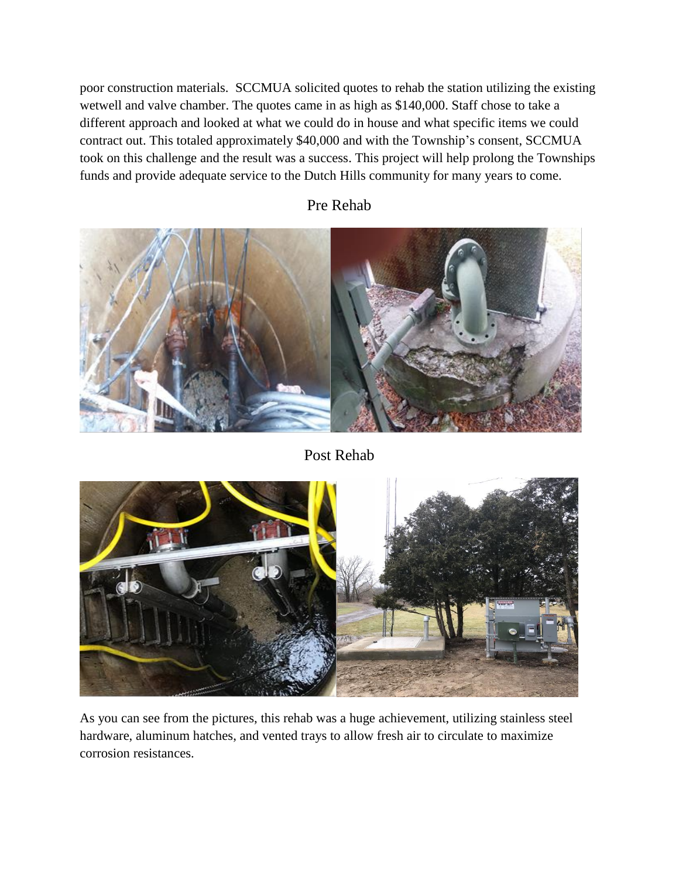poor construction materials. SCCMUA solicited quotes to rehab the station utilizing the existing wetwell and valve chamber. The quotes came in as high as \$140,000. Staff chose to take a different approach and looked at what we could do in house and what specific items we could contract out. This totaled approximately \$40,000 and with the Township's consent, SCCMUA took on this challenge and the result was a success. This project will help prolong the Townships funds and provide adequate service to the Dutch Hills community for many years to come.



#### Pre Rehab

Post Rehab



As you can see from the pictures, this rehab was a huge achievement, utilizing stainless steel hardware, aluminum hatches, and vented trays to allow fresh air to circulate to maximize corrosion resistances.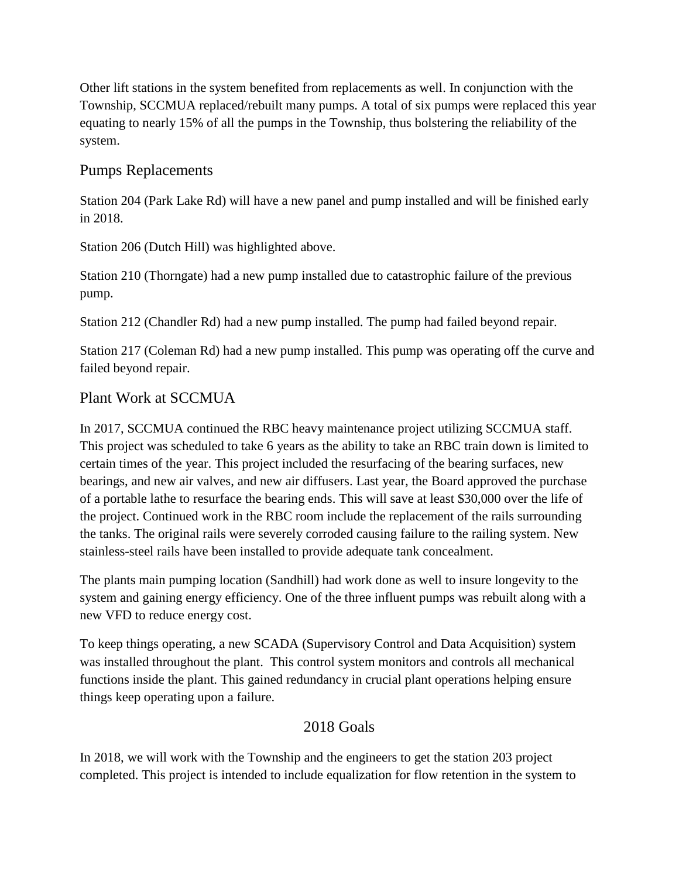Other lift stations in the system benefited from replacements as well. In conjunction with the Township, SCCMUA replaced/rebuilt many pumps. A total of six pumps were replaced this year equating to nearly 15% of all the pumps in the Township, thus bolstering the reliability of the system.

## Pumps Replacements

Station 204 (Park Lake Rd) will have a new panel and pump installed and will be finished early in 2018.

Station 206 (Dutch Hill) was highlighted above.

Station 210 (Thorngate) had a new pump installed due to catastrophic failure of the previous pump.

Station 212 (Chandler Rd) had a new pump installed. The pump had failed beyond repair.

Station 217 (Coleman Rd) had a new pump installed. This pump was operating off the curve and failed beyond repair.

## Plant Work at SCCMUA

In 2017, SCCMUA continued the RBC heavy maintenance project utilizing SCCMUA staff. This project was scheduled to take 6 years as the ability to take an RBC train down is limited to certain times of the year. This project included the resurfacing of the bearing surfaces, new bearings, and new air valves, and new air diffusers. Last year, the Board approved the purchase of a portable lathe to resurface the bearing ends. This will save at least \$30,000 over the life of the project. Continued work in the RBC room include the replacement of the rails surrounding the tanks. The original rails were severely corroded causing failure to the railing system. New stainless-steel rails have been installed to provide adequate tank concealment.

The plants main pumping location (Sandhill) had work done as well to insure longevity to the system and gaining energy efficiency. One of the three influent pumps was rebuilt along with a new VFD to reduce energy cost.

To keep things operating, a new SCADA (Supervisory Control and Data Acquisition) system was installed throughout the plant. This control system monitors and controls all mechanical functions inside the plant. This gained redundancy in crucial plant operations helping ensure things keep operating upon a failure.

## 2018 Goals

In 2018, we will work with the Township and the engineers to get the station 203 project completed. This project is intended to include equalization for flow retention in the system to